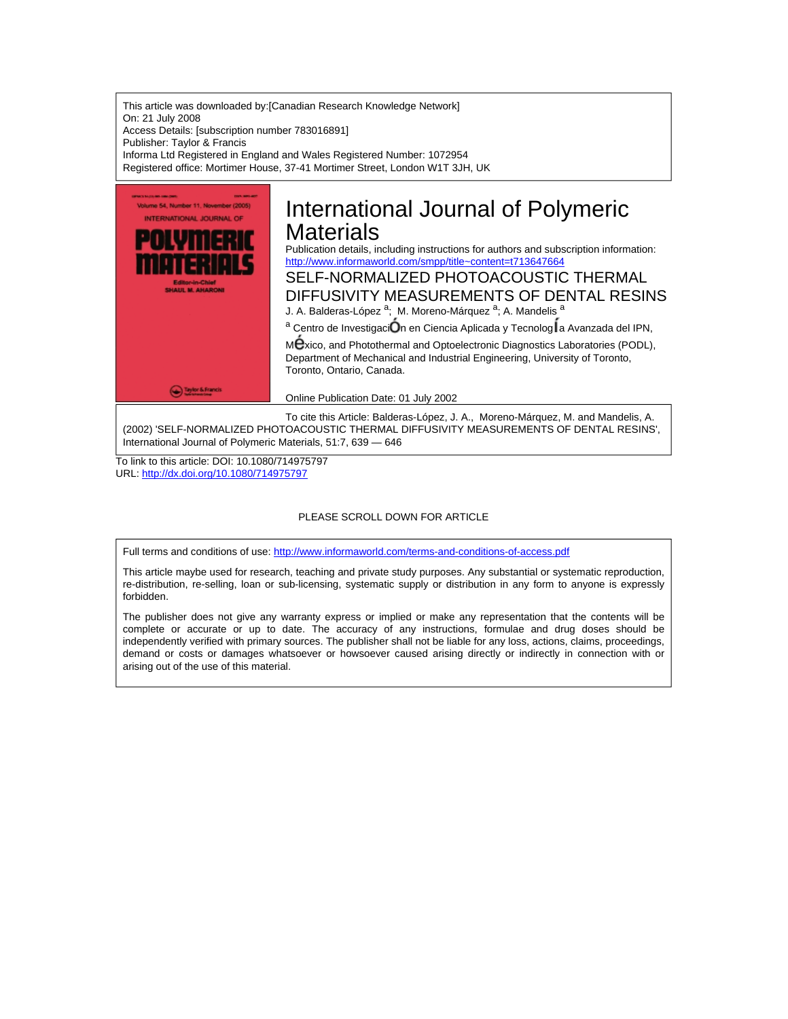This article was downloaded by:[Canadian Research Knowledge Network] On: 21 July 2008 Access Details: [subscription number 783016891] Publisher: Taylor & Francis Informa Ltd Registered in England and Wales Registered Number: 1072954 Registered office: Mortimer House, 37-41 Mortimer Street, London W1T 3JH, UK



(2002) 'SELF-NORMALIZED PHOTOACOUSTIC THERMAL DIFFUSIVITY MEASUREMENTS OF DENTAL RESINS', International Journal of Polymeric Materials, 51:7, 639 — 646

To link to this article: DOI: 10.1080/714975797 URL: <http://dx.doi.org/10.1080/714975797>

### PLEASE SCROLL DOWN FOR ARTICLE

Full terms and conditions of use: <http://www.informaworld.com/terms-and-conditions-of-access.pdf>

This article maybe used for research, teaching and private study purposes. Any substantial or systematic reproduction, re-distribution, re-selling, loan or sub-licensing, systematic supply or distribution in any form to anyone is expressly forbidden.

The publisher does not give any warranty express or implied or make any representation that the contents will be complete or accurate or up to date. The accuracy of any instructions, formulae and drug doses should be independently verified with primary sources. The publisher shall not be liable for any loss, actions, claims, proceedings, demand or costs or damages whatsoever or howsoever caused arising directly or indirectly in connection with or arising out of the use of this material.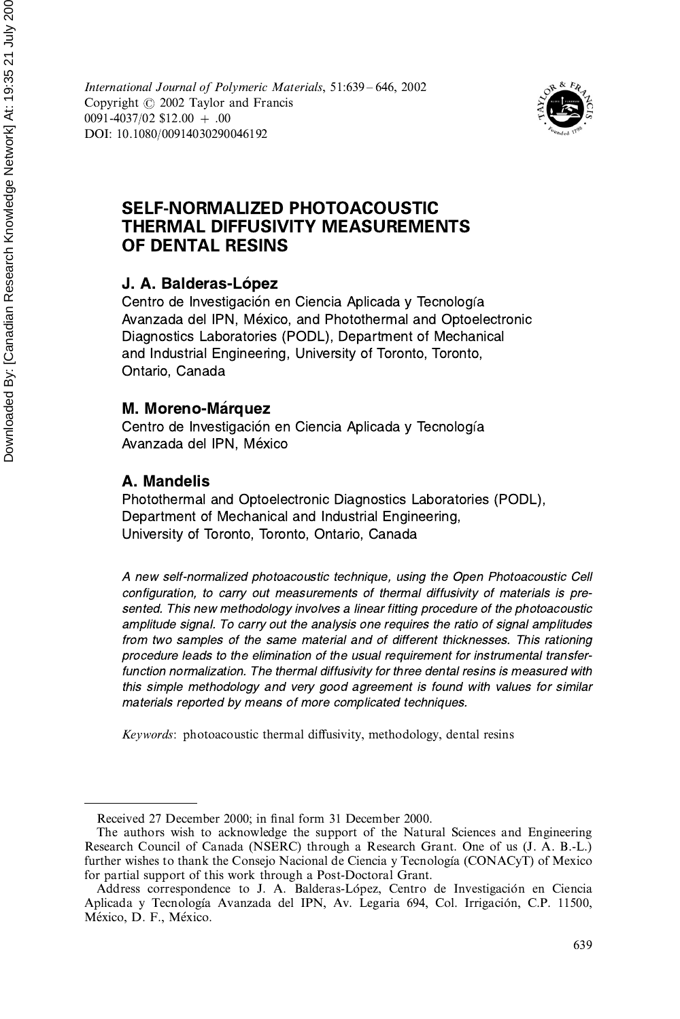International Journal of Polymeric Materials, 51:639-646, 2002 Copyright © 2002 Taylor and Francis 0091-4037/02 \$12.00 + .00 DOI: 10.1080/00914030290046192



# **SELF-NORMALIZED PHOTOACOUSTIC THERMAL DIFFUSIVITY MEASUREMENTS** OF DENTAL RESINS

### J. A. Balderas-López

Centro de Investigación en Ciencia Aplicada y Tecnología Avanzada del IPN, México, and Photothermal and Optoelectronic Diagnostics Laboratories (PODL), Department of Mechanical and Industrial Engineering, University of Toronto, Toronto, Ontario, Canada

### M. Moreno-Márquez

Centro de Investigación en Ciencia Aplicada y Tecnología Avanzada del IPN, México

# A. Mandelis

Photothermal and Optoelectronic Diagnostics Laboratories (PODL), Department of Mechanical and Industrial Engineering, University of Toronto, Toronto, Ontario, Canada

A new self-normalized photoacoustic technique, using the Open Photoacoustic Cell configuration, to carry out measurements of thermal diffusivity of materials is presented. This new methodology involves a linear fitting procedure of the photoacoustic amplitude signal. To carry out the analysis one requires the ratio of signal amplitudes from two samples of the same material and of different thicknesses. This rationing procedure leads to the elimination of the usual requirement for instrumental transferfunction normalization. The thermal diffusivity for three dental resins is measured with this simple methodology and very good agreement is found with values for similar materials reported by means of more complicated techniques.

Keywords: photoacoustic thermal diffusivity, methodology, dental resins

Received 27 December 2000; in final form 31 December 2000.

The authors wish to acknowledge the support of the Natural Sciences and Engineering Research Council of Canada (NSERC) through a Research Grant. One of us (J. A. B.-L.) further wishes to thank the Consejo Nacional de Ciencia y Tecnología (CONACyT) of Mexico for partial support of this work through a Post-Doctoral Grant.

Address correspondence to J. A. Balderas-López, Centro de Investigación en Ciencia Aplicada y Tecnología Avanzada del IPN, Av. Legaria 694, Col. Irrigación, C.P. 11500, México, D. F., México.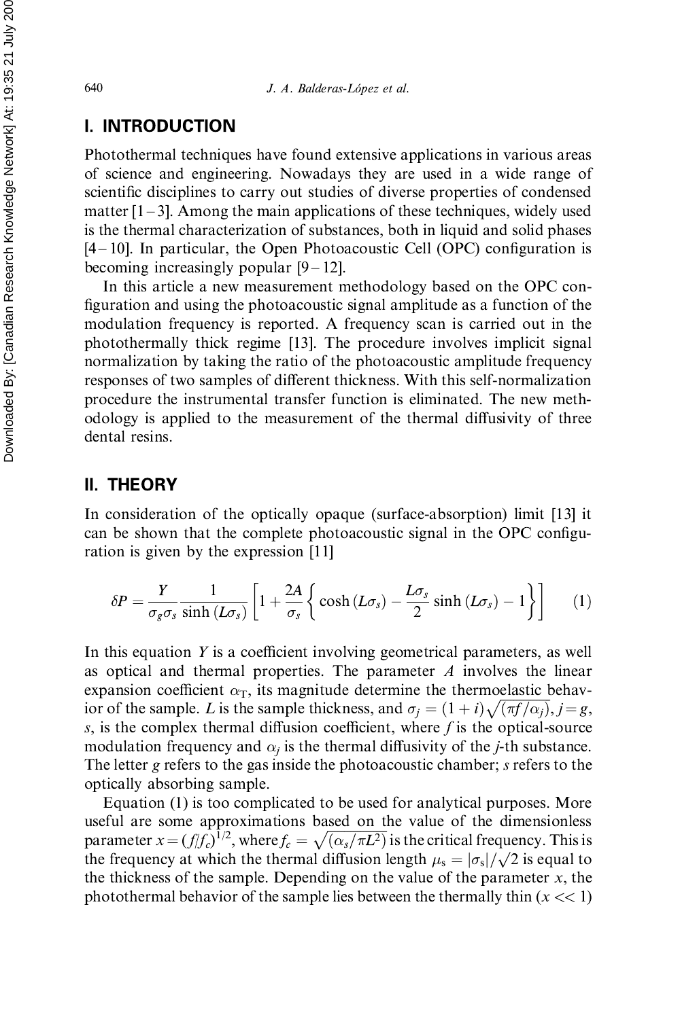### **I. INTRODUCTION**

Photothermal techniques have found extensive applications in various areas of science and engineering. Nowadays they are used in a wide range of scientific disciplines to carry out studies of diverse properties of condensed matter  $[1-3]$ . Among the main applications of these techniques, widely used is the thermal characterization of substances, both in liquid and solid phases  $[4-10]$ . In particular, the Open Photoacoustic Cell (OPC) configuration is becoming increasingly popular  $[9-12]$ .

In this article a new measurement methodology based on the OPC configuration and using the photoacoustic signal amplitude as a function of the modulation frequency is reported. A frequency scan is carried out in the photothermally thick regime [13]. The procedure involves implicit signal normalization by taking the ratio of the photoacoustic amplitude frequency responses of two samples of different thickness. With this self-normalization procedure the instrumental transfer function is eliminated. The new methodology is applied to the measurement of the thermal diffusivity of three dental resins.

### **II. THEORY**

In consideration of the optically opaque (surface-absorption) limit [13] it can be shown that the complete photoacoustic signal in the OPC configuration is given by the expression [11]

$$
\delta P = \frac{Y}{\sigma_g \sigma_s} \frac{1}{\sinh\left(L\sigma_s\right)} \left[1 + \frac{2A}{\sigma_s} \left\{\cosh\left(L\sigma_s\right) - \frac{L\sigma_s}{2} \sinh\left(L\sigma_s\right) - 1\right\}\right] \tag{1}
$$

In this equation Y is a coefficient involving geometrical parameters, as well as optical and thermal properties. The parameter  $A$  involves the linear expansion coefficient  $\alpha_T$ , its magnitude determine the thermoelastic behavior of the sample. L is the sample thickness, and  $\sigma_i = (1+i)\sqrt{\pi f/\alpha_i}$ ,  $i=g$ , s, is the complex thermal diffusion coefficient, where f is the optical-source modulation frequency and  $\alpha_i$  is the thermal diffusivity of the *j*-th substance. The letter g refers to the gas inside the photoacoustic chamber; s refers to the optically absorbing sample.

Equation (1) is too complicated to be used for analytical purposes. More useful are some approximations based on the value of the dimensionless parameter  $x = (f/f_c)^{1/2}$ , where  $f_c = \sqrt{(\alpha_s/\pi L^2)}$  is the critical frequency. This is the frequency at which the thermal diffusion length  $\mu_s = |\sigma_s| / \sqrt{2}$  is equal to the thickness of the sample. Depending on the value of the parameter  $x$ , the photothermal behavior of the sample lies between the thermally thin  $(x \ll 1)$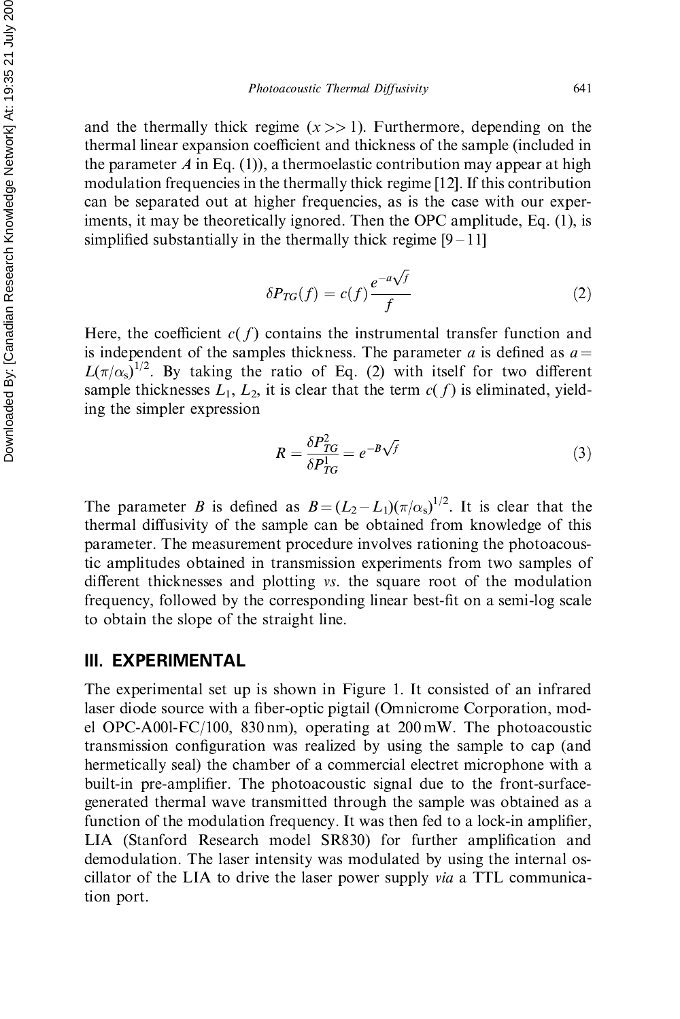and the thermally thick regime  $(x \gg 1)$ . Furthermore, depending on the thermal linear expansion coefficient and thickness of the sample (included in the parameter A in Eq. (1)), a thermoelastic contribution may appear at high modulation frequencies in the thermally thick regime [12]. If this contribution can be separated out at higher frequencies, as is the case with our experiments, it may be theoretically ignored. Then the OPC amplitude, Eq. (1), is simplified substantially in the thermally thick regime  $[9-11]$ 

$$
\delta P_{TG}(f) = c(f) \frac{e^{-a\sqrt{f}}}{f}
$$
 (2)

Here, the coefficient  $c(f)$  contains the instrumental transfer function and is independent of the samples thickness. The parameter a is defined as  $a =$  $L(\pi/\alpha_s)^{1/2}$ . By taking the ratio of Eq. (2) with itself for two different sample thicknesses  $L_1$ ,  $L_2$ , it is clear that the term  $c(f)$  is eliminated, yielding the simpler expression

$$
R = \frac{\delta P_{TG}^2}{\delta P_{TG}^1} = e^{-B\sqrt{f}}
$$
\n(3)

The parameter B is defined as  $B = (L_2 - L_1)(\pi/\alpha_s)^{1/2}$ . It is clear that the thermal diffusivity of the sample can be obtained from knowledge of this parameter. The measurement procedure involves rationing the photoacoustic amplitudes obtained in transmission experiments from two samples of different thicknesses and plotting vs. the square root of the modulation frequency, followed by the corresponding linear best-fit on a semi-log scale to obtain the slope of the straight line.

#### III. EXPERIMENTAL

The experimental set up is shown in Figure 1. It consisted of an infrared laser diode source with a fiber-optic pigtail (Omnicrome Corporation, model OPC-A001-FC/100, 830 nm), operating at  $200 \text{ mW}$ . The photoacoustic transmission configuration was realized by using the sample to cap (and hermetically seal) the chamber of a commercial electret microphone with a built-in pre-amplifier. The photoacoustic signal due to the front-surfacegenerated thermal wave transmitted through the sample was obtained as a function of the modulation frequency. It was then fed to a lock-in amplifier, LIA (Stanford Research model SR830) for further amplification and demodulation. The laser intensity was modulated by using the internal oscillator of the LIA to drive the laser power supply *via* a TTL communication port.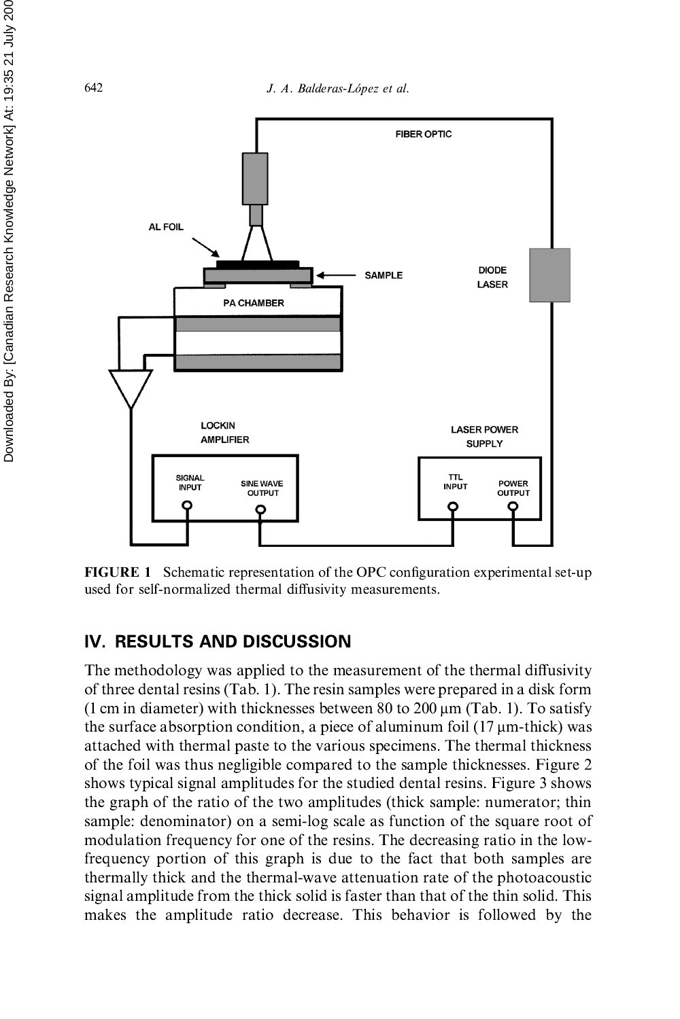J. A. Balderas-López et al.



**FIGURE 1** Schematic representation of the OPC configuration experimental set-up used for self-normalized thermal diffusivity measurements.

## IV. RESULTS AND DISCUSSION

The methodology was applied to the measurement of the thermal diffusivity of three dental resins (Tab. 1). The resin samples were prepared in a disk form (1 cm in diameter) with thicknesses between 80 to 200  $\mu$ m (Tab. 1). To satisfy the surface absorption condition, a piece of aluminum foil  $(17 \mu m$ -thick) was attached with thermal paste to the various specimens. The thermal thickness of the foil was thus negligible compared to the sample thicknesses. Figure 2 shows typical signal amplitudes for the studied dental resins. Figure 3 shows the graph of the ratio of the two amplitudes (thick sample: numerator; thin sample: denominator) on a semi-log scale as function of the square root of modulation frequency for one of the resins. The decreasing ratio in the lowfrequency portion of this graph is due to the fact that both samples are thermally thick and the thermal-wave attenuation rate of the photoacoustic signal amplitude from the thick solid is faster than that of the thin solid. This makes the amplitude ratio decrease. This behavior is followed by the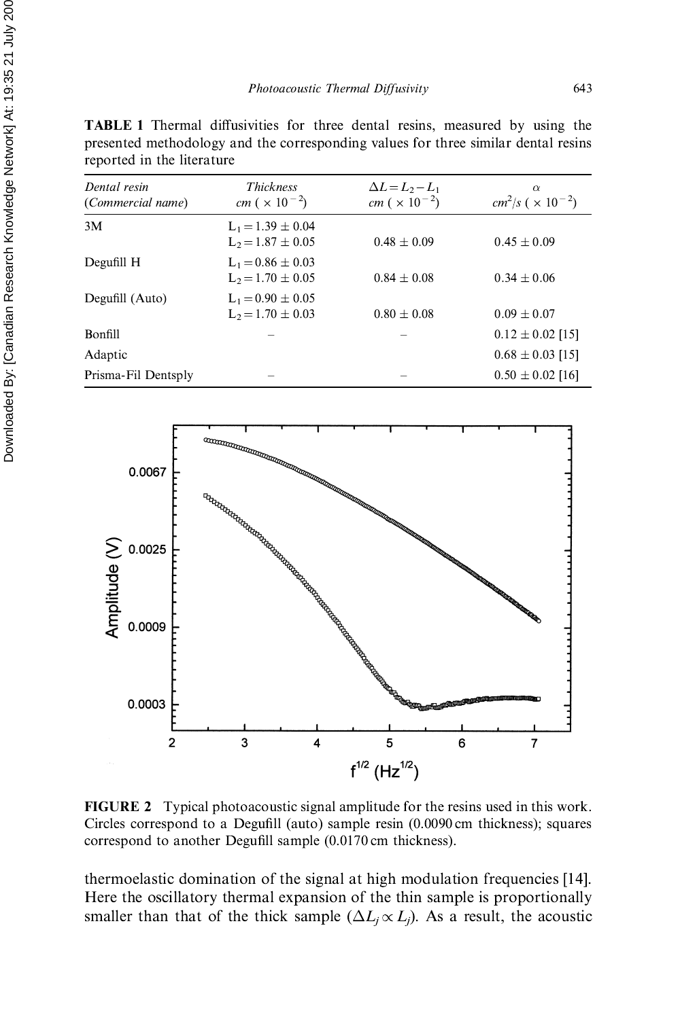**TABLE 1** Thermal diffusivities for three dental resins, measured by using the presented methodology and the corresponding values for three similar dental resins reported in the literature

| Dental resin<br>(Commercial name) | <b>Thickness</b><br><i>cm</i> ( $\times$ 10 <sup>-2</sup> ) | $\Delta L = L_2 - L_1$<br><i>cm</i> ( $\times$ 10 <sup>-2</sup> ) | $\alpha$<br>$cm^2/s$ ( $\times 10^{-2}$ ) |
|-----------------------------------|-------------------------------------------------------------|-------------------------------------------------------------------|-------------------------------------------|
| 3M                                | $L_1 = 1.39 \pm 0.04$<br>$L_2 = 1.87 \pm 0.05$              | $0.48 + 0.09$                                                     | $0.45 + 0.09$                             |
| Degufill H                        | $L_1 = 0.86 \pm 0.03$<br>$L_2 = 1.70 \pm 0.05$              | $0.84 \pm 0.08$                                                   | $0.34 \pm 0.06$                           |
| Degufill (Auto)                   | $L_1 = 0.90 \pm 0.05$<br>$L_2 = 1.70 \pm 0.03$              | $0.80 \pm 0.08$                                                   | $0.09 \pm 0.07$                           |
| Bonfill                           |                                                             |                                                                   | $0.12 \pm 0.02$ [15]                      |
| Adaptic                           |                                                             |                                                                   | $0.68 \pm 0.03$ [15]                      |
| Prisma-Fil Dentsply               |                                                             |                                                                   | $0.50 \pm 0.02$ [16]                      |



**FIGURE 2** Typical photoacoustic signal amplitude for the resins used in this work. Circles correspond to a Degufill (auto) sample resin (0.0090 cm thickness); squares correspond to another Degufill sample (0.0170 cm thickness).

thermoelastic domination of the signal at high modulation frequencies [14]. Here the oscillatory thermal expansion of the thin sample is proportionally smaller than that of the thick sample  $(\Delta L_i \propto L_i)$ . As a result, the acoustic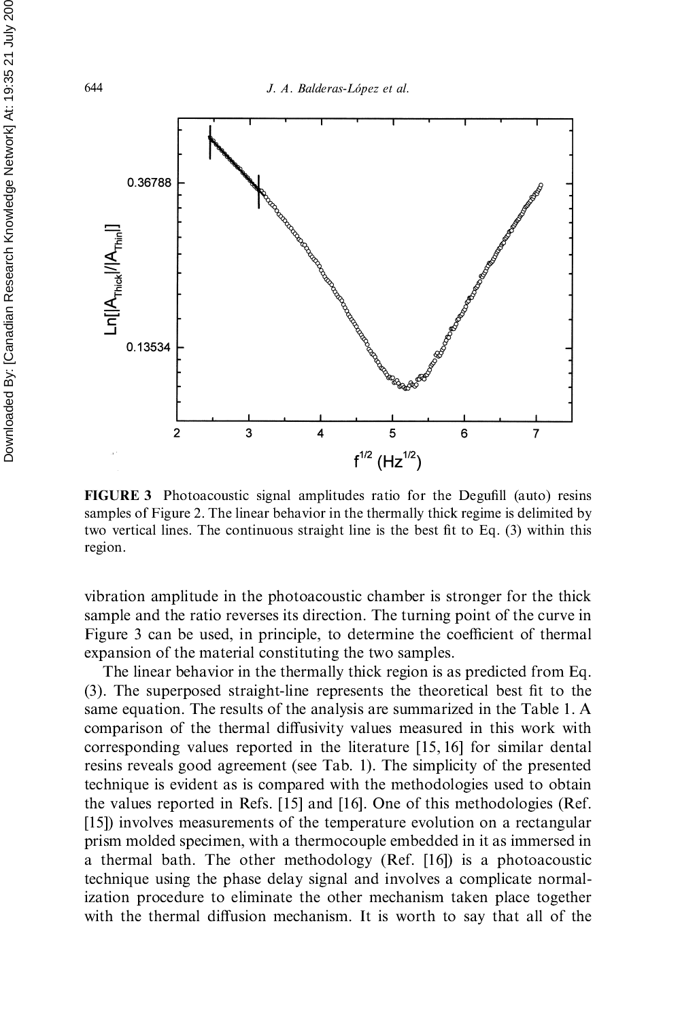

**FIGURE 3** Photoacoustic signal amplitudes ratio for the Degufill (auto) resins samples of Figure 2. The linear behavior in the thermally thick regime is delimited by two vertical lines. The continuous straight line is the best fit to Eq. (3) within this region.

vibration amplitude in the photoacoustic chamber is stronger for the thick sample and the ratio reverses its direction. The turning point of the curve in Figure 3 can be used, in principle, to determine the coefficient of thermal expansion of the material constituting the two samples.

The linear behavior in the thermally thick region is as predicted from Eq. (3). The superposed straight-line represents the theoretical best fit to the same equation. The results of the analysis are summarized in the Table 1. A comparison of the thermal diffusivity values measured in this work with corresponding values reported in the literature [15, 16] for similar dental resins reveals good agreement (see Tab. 1). The simplicity of the presented technique is evident as is compared with the methodologies used to obtain the values reported in Refs. [15] and [16]. One of this methodologies (Ref. [15]) involves measurements of the temperature evolution on a rectangular prism molded specimen, with a thermocouple embedded in it as immersed in a thermal bath. The other methodology (Ref. [16]) is a photoacoustic technique using the phase delay signal and involves a complicate normalization procedure to eliminate the other mechanism taken place together with the thermal diffusion mechanism. It is worth to say that all of the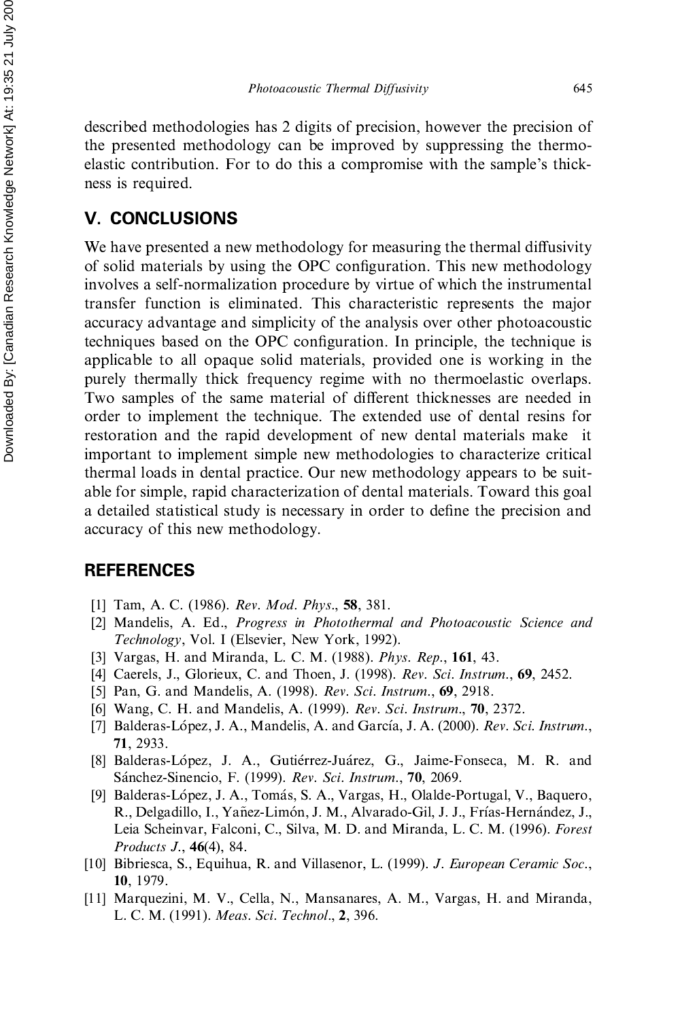described methodologies has 2 digits of precision, however the precision of the presented methodology can be improved by suppressing the thermoelastic contribution. For to do this a compromise with the sample's thickness is required.

## V. CONCLUSIONS

We have presented a new methodology for measuring the thermal diffusivity of solid materials by using the OPC configuration. This new methodology involves a self-normalization procedure by virtue of which the instrumental transfer function is eliminated. This characteristic represents the major accuracy advantage and simplicity of the analysis over other photoacoustic techniques based on the OPC configuration. In principle, the technique is applicable to all opaque solid materials, provided one is working in the purely thermally thick frequency regime with no thermoelastic overlaps. Two samples of the same material of different thicknesses are needed in order to implement the technique. The extended use of dental resins for restoration and the rapid development of new dental materials make it important to implement simple new methodologies to characterize critical thermal loads in dental practice. Our new methodology appears to be suitable for simple, rapid characterization of dental materials. Toward this goal a detailed statistical study is necessary in order to define the precision and accuracy of this new methodology.

### **REFERENCES**

- [1] Tam, A. C. (1986). Rev. Mod. Phys., 58, 381.
- [2] Mandelis, A. Ed., Progress in Photothermal and Photoacoustic Science and Technology, Vol. I (Elsevier, New York, 1992).
- [3] Vargas, H. and Miranda, L. C. M. (1988). Phys. Rep., 161, 43.
- [4] Caerels, J., Glorieux, C. and Thoen, J. (1998). Rev. Sci. Instrum., 69, 2452.
- [5] Pan, G. and Mandelis, A. (1998). Rev. Sci. Instrum., 69, 2918.
- [6] Wang, C. H. and Mandelis, A. (1999). Rev. Sci. Instrum., 70, 2372.
- [7] Balderas-López, J. A., Mandelis, A. and García, J. A. (2000). Rev. Sci. Instrum., 71, 2933.
- [8] Balderas-López, J. A., Gutiérrez-Juárez, G., Jaime-Fonseca, M. R. and Sánchez-Sinencio, F. (1999). Rev. Sci. Instrum., 70, 2069.
- [9] Balderas-López, J. A., Tomás, S. A., Vargas, H., Olalde-Portugal, V., Baquero, R., Delgadillo, I., Yañez-Limón, J. M., Alvarado-Gil, J. J., Frías-Hernández, J., Leia Scheinvar, Falconi, C., Silva, M. D. and Miranda, L. C. M. (1996). Forest Products J., 46(4), 84.
- [10] Bibriesca, S., Equihua, R. and Villasenor, L. (1999). J. European Ceramic Soc., 10, 1979.
- [11] Marquezini, M. V., Cella, N., Mansanares, A. M., Vargas, H. and Miranda, L. C. M. (1991). Meas. Sci. Technol., 2, 396.